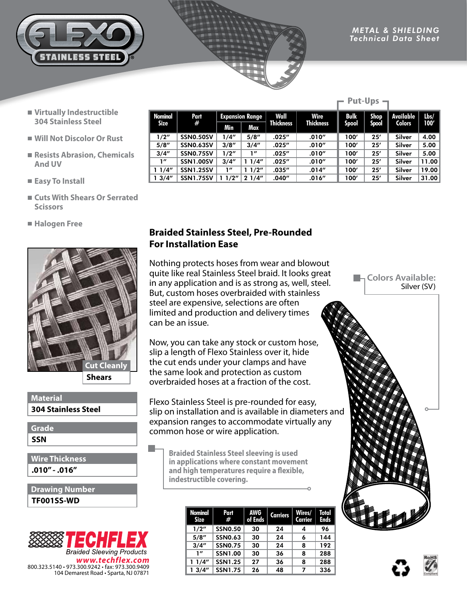

**Put-Ups** 

- **Virtually Indestructible 304 Stainless Steel**
- **Will Not Discolor Or Rust**
- Resists Abrasion, Chemicals **And UV**
- **Easy To Install**
- **Cuts With Shears Or Serrated Scissors**
- **Halogen Free**



**304 Stainless Steel Material**

**SSN Grade**

**.010" - .016" Wire Thickness**

**TF001SS-WD Drawing Number**



|                        |                  |                        |       |                  |                  | rut-vps      |             |                  |         |
|------------------------|------------------|------------------------|-------|------------------|------------------|--------------|-------------|------------------|---------|
| Nominal<br><b>Size</b> | Part<br>#        | <b>Expansion Range</b> |       | Wall             | Wire             | <b>Bulk</b>  | <b>Shop</b> | <b>Available</b> | $l$ bs/ |
|                        |                  | Min                    | Max   | <b>Thickness</b> | <b>Thickness</b> | <b>Spool</b> | Spool       | <b>Colors</b>    | 100'    |
| 1/2"                   | SSN0.50SV        | 1/4"                   | 5/8'' | .025''           | .010''           | 100'         | 25'         | Silver           | 4.00    |
| 5/8''                  | <b>SSN0.63SV</b> | 3/8''                  | 3/4'' | .025''           | .010''           | 100'         | 25'         | <b>Silver</b>    | 5.00    |
| 3/4''                  | <b>SSN0.75SV</b> | 1/2"                   | 1''   | .025''           | .010''           | 100'         | 25'         | <b>Silver</b>    | 5.00    |
| 1''                    | <b>SSN1.00SV</b> | 3/4''                  | 11/4" | .025''           | .010''           | 100'         | 25'         | Silver           | 11.00   |
| 11/4"                  | <b>SSN1.25SV</b> | 1''                    | 11/2" | .035''           | .014''           | 100'         | 25'         | Silver           | 19.00   |
| 13/4''                 | <b>SSN1.75SV</b> | 11/2"                  | 21/4" | .040''           | .016''           | 100'         | 25'         | Silver           | 31.00   |

## **Braided Stainless Steel, Pre-Rounded For Installation Ease**

Nothing protects hoses from wear and blowout quite like real Stainless Steel braid. It looks great in any application and is as strong as, well, steel. But, custom hoses overbraided with stainless steel are expensive, selections are often limited and production and delivery times can be an issue.

Now, you can take any stock or custom hose, slip a length of Flexo Stainless over it, hide the cut ends under your clamps and have the same look and protection as custom overbraided hoses at a fraction of the cost.

Flexo Stainless Steel is pre-rounded for easy, slip on installation and is available in diameters and expansion ranges to accommodate virtually any common hose or wire application.

**Braided Stainless Steel sleeving is used in applications where constant movement and high temperatures require a flexible, indestructible covering.**

| <b>Nominal</b><br>Size | Part<br>#      | <b>AWG</b><br>of Ends | <b>Carriers</b> | Wires/<br>Carrier | Total<br><b>Ends</b> |
|------------------------|----------------|-----------------------|-----------------|-------------------|----------------------|
| 1/2"                   | <b>SSN0.50</b> | 30                    | 24              |                   | 96                   |
| 5/8''                  | <b>SSN0.63</b> | 30                    | 24              | 6                 | 144                  |
| 3/4''                  | <b>SSN0.75</b> | 30                    | 24              | 8                 | 192                  |
| 1''                    | <b>SSN1.00</b> | 30                    | 36              | 8                 | 288                  |
| 11/4"                  | <b>SSN1.25</b> | 27                    | 36              | 8                 | 288                  |
| 13/4''                 | <b>SSN1.75</b> | 26                    | 48              | 7                 | 336                  |